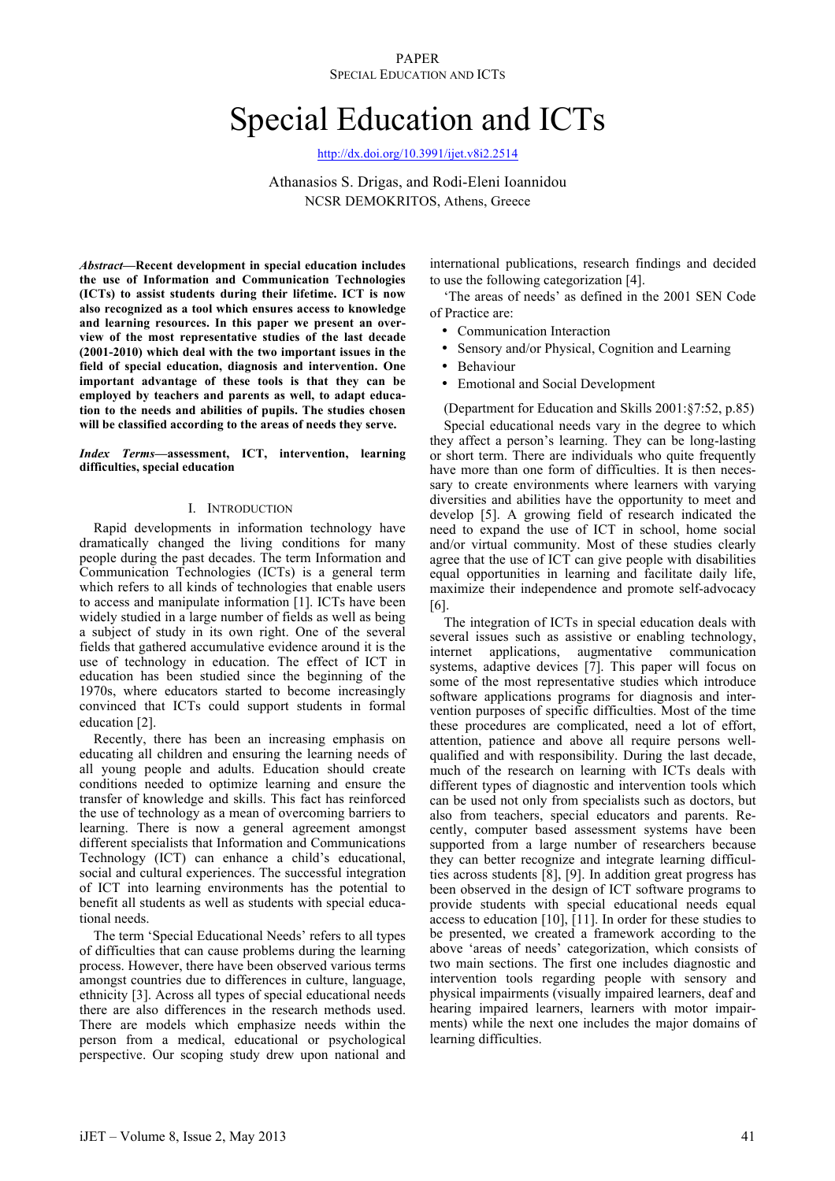PAPER SPECIAL EDUCATION AND ICTS

# Special Education and ICTs

http://dx.doi.org/10.3991/ijet.v8i2.2514

Athanasios S. Drigas, and Rodi-Eleni Ioannidou NCSR DEMOKRITOS, Athens, Greece

*Abstract***—Recent development in special education includes the use of Information and Communication Technologies (ICTs) to assist students during their lifetime. ICT is now also recognized as a tool which ensures access to knowledge and learning resources. In this paper we present an overview of the most representative studies of the last decade (2001-2010) which deal with the two important issues in the field of special education, diagnosis and intervention. One important advantage of these tools is that they can be employed by teachers and parents as well, to adapt education to the needs and abilities of pupils. The studies chosen will be classified according to the areas of needs they serve.**

*Index Terms***—assessment, ICT, intervention, learning difficulties, special education**

# I. INTRODUCTION

Rapid developments in information technology have dramatically changed the living conditions for many people during the past decades. The term Information and Communication Technologies (ICTs) is a general term which refers to all kinds of technologies that enable users to access and manipulate information [1]. ICTs have been widely studied in a large number of fields as well as being a subject of study in its own right. One of the several fields that gathered accumulative evidence around it is the use of technology in education. The effect of ICT in education has been studied since the beginning of the 1970s, where educators started to become increasingly convinced that ICTs could support students in formal education [2].

Recently, there has been an increasing emphasis on educating all children and ensuring the learning needs of all young people and adults. Education should create conditions needed to optimize learning and ensure the transfer of knowledge and skills. This fact has reinforced the use of technology as a mean of overcoming barriers to learning. There is now a general agreement amongst different specialists that Information and Communications Technology (ICT) can enhance a child's educational, social and cultural experiences. The successful integration of ICT into learning environments has the potential to benefit all students as well as students with special educational needs.

The term 'Special Educational Needs' refers to all types of difficulties that can cause problems during the learning process. However, there have been observed various terms amongst countries due to differences in culture, language, ethnicity [3]. Across all types of special educational needs there are also differences in the research methods used. There are models which emphasize needs within the person from a medical, educational or psychological perspective. Our scoping study drew upon national and international publications, research findings and decided to use the following categorization [4].

'The areas of needs' as defined in the 2001 SEN Code of Practice are:

- Communication Interaction
- Sensory and/or Physical, Cognition and Learning
- **Behaviour**
- Emotional and Social Development

(Department for Education and Skills 2001:§7:52, p.85)

Special educational needs vary in the degree to which they affect a person's learning. They can be long-lasting or short term. There are individuals who quite frequently have more than one form of difficulties. It is then necessary to create environments where learners with varying diversities and abilities have the opportunity to meet and develop [5]. A growing field of research indicated the need to expand the use of ICT in school, home social and/or virtual community. Most of these studies clearly agree that the use of ICT can give people with disabilities equal opportunities in learning and facilitate daily life, maximize their independence and promote self-advocacy [6].

The integration of ICTs in special education deals with several issues such as assistive or enabling technology, internet applications, augmentative communication systems, adaptive devices [7]. This paper will focus on some of the most representative studies which introduce software applications programs for diagnosis and intervention purposes of specific difficulties. Most of the time these procedures are complicated, need a lot of effort, attention, patience and above all require persons wellqualified and with responsibility. During the last decade, much of the research on learning with ICTs deals with different types of diagnostic and intervention tools which can be used not only from specialists such as doctors, but also from teachers, special educators and parents. Recently, computer based assessment systems have been supported from a large number of researchers because they can better recognize and integrate learning difficulties across students [8], [9]. In addition great progress has been observed in the design of ICT software programs to provide students with special educational needs equal access to education [10], [11]. In order for these studies to be presented, we created a framework according to the above 'areas of needs' categorization, which consists of two main sections. The first one includes diagnostic and intervention tools regarding people with sensory and physical impairments (visually impaired learners, deaf and hearing impaired learners, learners with motor impairments) while the next one includes the major domains of learning difficulties.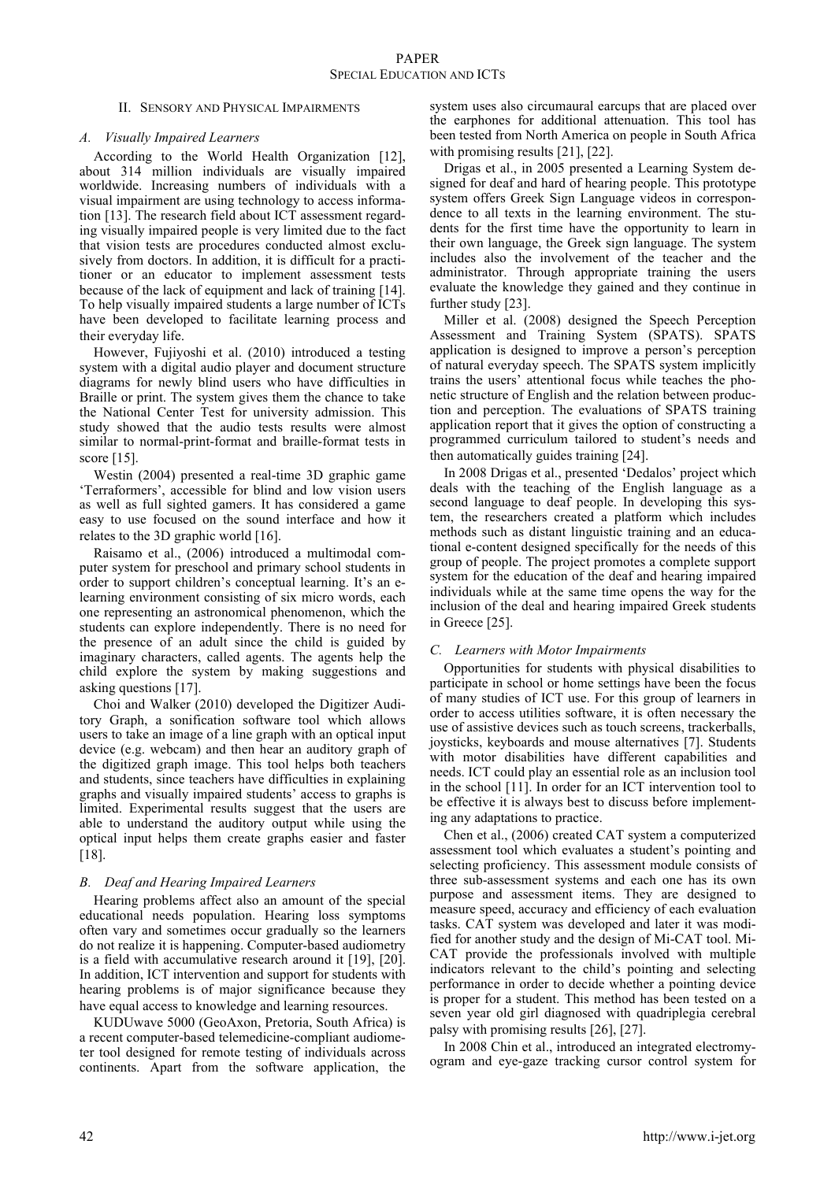#### II. SENSORY AND PHYSICAL IMPAIRMENTS

#### *A. Visually Impaired Learners*

According to the World Health Organization [12], about 314 million individuals are visually impaired worldwide. Increasing numbers of individuals with a visual impairment are using technology to access information [13]. The research field about ICT assessment regarding visually impaired people is very limited due to the fact that vision tests are procedures conducted almost exclusively from doctors. In addition, it is difficult for a practitioner or an educator to implement assessment tests because of the lack of equipment and lack of training [14]. To help visually impaired students a large number of ICTs have been developed to facilitate learning process and their everyday life.

However, Fujiyoshi et al. (2010) introduced a testing system with a digital audio player and document structure diagrams for newly blind users who have difficulties in Braille or print. The system gives them the chance to take the National Center Test for university admission. This study showed that the audio tests results were almost similar to normal-print-format and braille-format tests in score [15].

Westin (2004) presented a real-time 3D graphic game 'Terraformers', accessible for blind and low vision users as well as full sighted gamers. It has considered a game easy to use focused on the sound interface and how it relates to the 3D graphic world [16].

Raisamo et al., (2006) introduced a multimodal computer system for preschool and primary school students in order to support children's conceptual learning. It's an elearning environment consisting of six micro words, each one representing an astronomical phenomenon, which the students can explore independently. There is no need for the presence of an adult since the child is guided by imaginary characters, called agents. The agents help the child explore the system by making suggestions and asking questions [17].

Choi and Walker (2010) developed the Digitizer Auditory Graph, a sonification software tool which allows users to take an image of a line graph with an optical input device (e.g. webcam) and then hear an auditory graph of the digitized graph image. This tool helps both teachers and students, since teachers have difficulties in explaining graphs and visually impaired students' access to graphs is limited. Experimental results suggest that the users are able to understand the auditory output while using the optical input helps them create graphs easier and faster [18].

# *B. Deaf and Hearing Impaired Learners*

Hearing problems affect also an amount of the special educational needs population. Hearing loss symptoms often vary and sometimes occur gradually so the learners do not realize it is happening. Computer-based audiometry is a field with accumulative research around it [19], [20]. In addition, ICT intervention and support for students with hearing problems is of major significance because they have equal access to knowledge and learning resources.

KUDUwave 5000 (GeoAxon, Pretoria, South Africa) is a recent computer-based telemedicine-compliant audiometer tool designed for remote testing of individuals across continents. Apart from the software application, the system uses also circumaural earcups that are placed over the earphones for additional attenuation. This tool has been tested from North America on people in South Africa with promising results [21], [22].

Drigas et al., in 2005 presented a Learning System designed for deaf and hard of hearing people. This prototype system offers Greek Sign Language videos in correspondence to all texts in the learning environment. The students for the first time have the opportunity to learn in their own language, the Greek sign language. The system includes also the involvement of the teacher and the administrator. Through appropriate training the users evaluate the knowledge they gained and they continue in further study [23].

Miller et al. (2008) designed the Speech Perception Assessment and Training System (SPATS). SPATS application is designed to improve a person's perception of natural everyday speech. The SPATS system implicitly trains the users' attentional focus while teaches the phonetic structure of English and the relation between production and perception. The evaluations of SPATS training application report that it gives the option of constructing a programmed curriculum tailored to student's needs and then automatically guides training [24].

In 2008 Drigas et al., presented 'Dedalos' project which deals with the teaching of the English language as a second language to deaf people. In developing this system, the researchers created a platform which includes methods such as distant linguistic training and an educational e-content designed specifically for the needs of this group of people. The project promotes a complete support system for the education of the deaf and hearing impaired individuals while at the same time opens the way for the inclusion of the deal and hearing impaired Greek students in Greece [25].

# *C. Learners with Motor Impairments*

Opportunities for students with physical disabilities to participate in school or home settings have been the focus of many studies of ICT use. For this group of learners in order to access utilities software, it is often necessary the use of assistive devices such as touch screens, trackerballs, joysticks, keyboards and mouse alternatives [7]. Students with motor disabilities have different capabilities and needs. ICT could play an essential role as an inclusion tool in the school [11]. In order for an ICT intervention tool to be effective it is always best to discuss before implementing any adaptations to practice.

Chen et al., (2006) created CAT system a computerized assessment tool which evaluates a student's pointing and selecting proficiency. This assessment module consists of three sub-assessment systems and each one has its own purpose and assessment items. They are designed to measure speed, accuracy and efficiency of each evaluation tasks. CAT system was developed and later it was modified for another study and the design of Mi-CAT tool. Mi-CAT provide the professionals involved with multiple indicators relevant to the child's pointing and selecting performance in order to decide whether a pointing device is proper for a student. This method has been tested on a seven year old girl diagnosed with quadriplegia cerebral palsy with promising results [26], [27].

In 2008 Chin et al., introduced an integrated electromyogram and eye-gaze tracking cursor control system for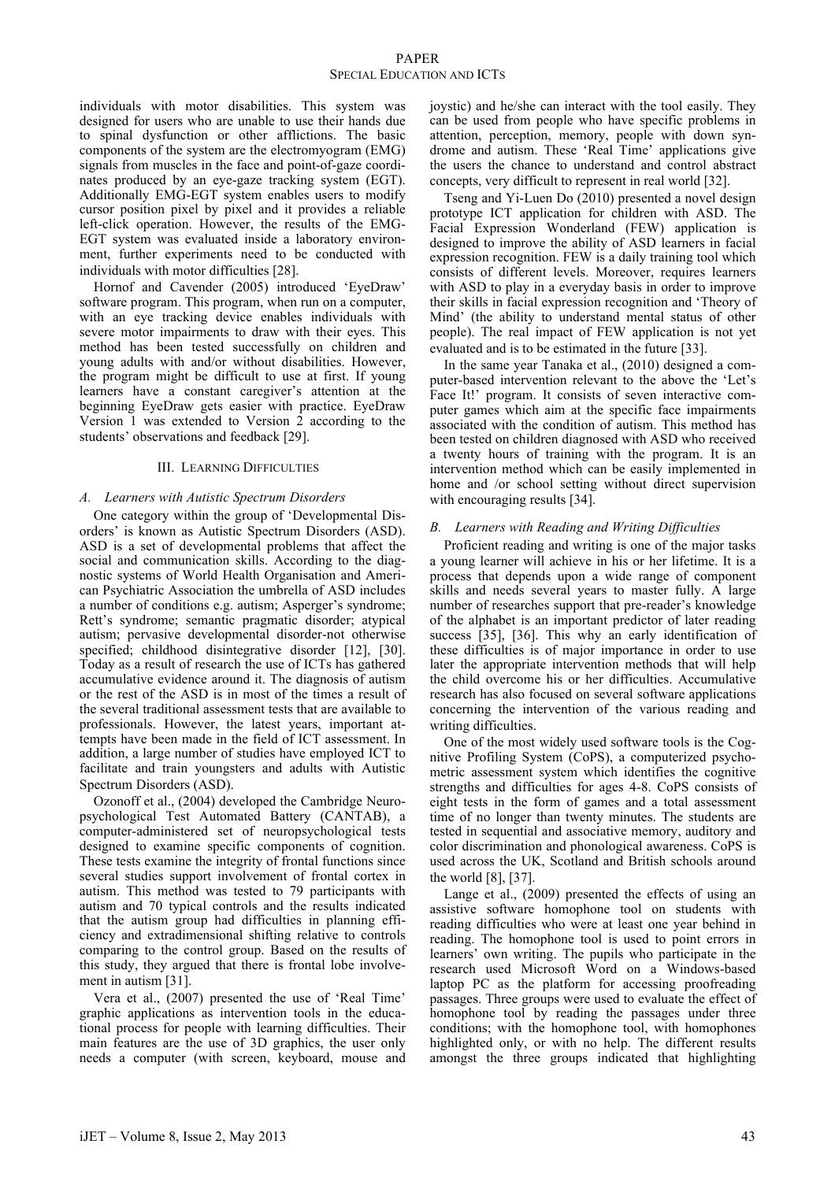individuals with motor disabilities. This system was designed for users who are unable to use their hands due to spinal dysfunction or other afflictions. The basic components of the system are the electromyogram (EMG) signals from muscles in the face and point-of-gaze coordinates produced by an eye-gaze tracking system (EGT). Additionally EMG-EGT system enables users to modify cursor position pixel by pixel and it provides a reliable left-click operation. However, the results of the EMG-EGT system was evaluated inside a laboratory environment, further experiments need to be conducted with individuals with motor difficulties [28].

Hornof and Cavender (2005) introduced 'EyeDraw' software program. This program, when run on a computer, with an eye tracking device enables individuals with severe motor impairments to draw with their eyes. This method has been tested successfully on children and young adults with and/or without disabilities. However, the program might be difficult to use at first. If young learners have a constant caregiver's attention at the beginning EyeDraw gets easier with practice. EyeDraw Version 1 was extended to Version 2 according to the students' observations and feedback [29].

# III. LEARNING DIFFICULTIES

# *A. Learners with Autistic Spectrum Disorders*

One category within the group of 'Developmental Disorders' is known as Autistic Spectrum Disorders (ASD). ASD is a set of developmental problems that affect the social and communication skills. According to the diagnostic systems of World Health Organisation and American Psychiatric Association the umbrella of ASD includes a number of conditions e.g. autism; Asperger's syndrome; Rett's syndrome; semantic pragmatic disorder; atypical autism; pervasive developmental disorder-not otherwise specified; childhood disintegrative disorder [12], [30]. Today as a result of research the use of ICTs has gathered accumulative evidence around it. The diagnosis of autism or the rest of the ASD is in most of the times a result of the several traditional assessment tests that are available to professionals. However, the latest years, important attempts have been made in the field of ICT assessment. In addition, a large number of studies have employed ICT to facilitate and train youngsters and adults with Autistic Spectrum Disorders (ASD).

Ozonoff et al., (2004) developed the Cambridge Neuropsychological Test Automated Battery (CANTAB), a computer-administered set of neuropsychological tests designed to examine specific components of cognition. These tests examine the integrity of frontal functions since several studies support involvement of frontal cortex in autism. This method was tested to 79 participants with autism and 70 typical controls and the results indicated that the autism group had difficulties in planning efficiency and extradimensional shifting relative to controls comparing to the control group. Based on the results of this study, they argued that there is frontal lobe involvement in autism [31].

Vera et al., (2007) presented the use of 'Real Time' graphic applications as intervention tools in the educational process for people with learning difficulties. Their main features are the use of 3D graphics, the user only needs a computer (with screen, keyboard, mouse and joystic) and he/she can interact with the tool easily. They can be used from people who have specific problems in attention, perception, memory, people with down syndrome and autism. These 'Real Time' applications give the users the chance to understand and control abstract concepts, very difficult to represent in real world [32].

Tseng and Yi-Luen Do (2010) presented a novel design prototype ICT application for children with ASD. The Facial Expression Wonderland (FEW) application is designed to improve the ability of ASD learners in facial expression recognition. FEW is a daily training tool which consists of different levels. Moreover, requires learners with ASD to play in a everyday basis in order to improve their skills in facial expression recognition and 'Theory of Mind' (the ability to understand mental status of other people). The real impact of FEW application is not yet evaluated and is to be estimated in the future [33].

In the same year Tanaka et al., (2010) designed a computer-based intervention relevant to the above the 'Let's Face It!' program. It consists of seven interactive computer games which aim at the specific face impairments associated with the condition of autism. This method has been tested on children diagnosed with ASD who received a twenty hours of training with the program. It is an intervention method which can be easily implemented in home and /or school setting without direct supervision with encouraging results [34].

# *B. Learners with Reading and Writing Difficulties*

Proficient reading and writing is one of the major tasks a young learner will achieve in his or her lifetime. It is a process that depends upon a wide range of component skills and needs several years to master fully. A large number of researches support that pre-reader's knowledge of the alphabet is an important predictor of later reading success [35], [36]. This why an early identification of these difficulties is of major importance in order to use later the appropriate intervention methods that will help the child overcome his or her difficulties. Accumulative research has also focused on several software applications concerning the intervention of the various reading and writing difficulties.

One of the most widely used software tools is the Cognitive Profiling System (CoPS), a computerized psychometric assessment system which identifies the cognitive strengths and difficulties for ages 4-8. CoPS consists of eight tests in the form of games and a total assessment time of no longer than twenty minutes. The students are tested in sequential and associative memory, auditory and color discrimination and phonological awareness. CoPS is used across the UK, Scotland and British schools around the world [8], [37].

Lange et al., (2009) presented the effects of using an assistive software homophone tool on students with reading difficulties who were at least one year behind in reading. The homophone tool is used to point errors in learners' own writing. The pupils who participate in the research used Microsoft Word on a Windows-based laptop PC as the platform for accessing proofreading passages. Three groups were used to evaluate the effect of homophone tool by reading the passages under three conditions; with the homophone tool, with homophones highlighted only, or with no help. The different results amongst the three groups indicated that highlighting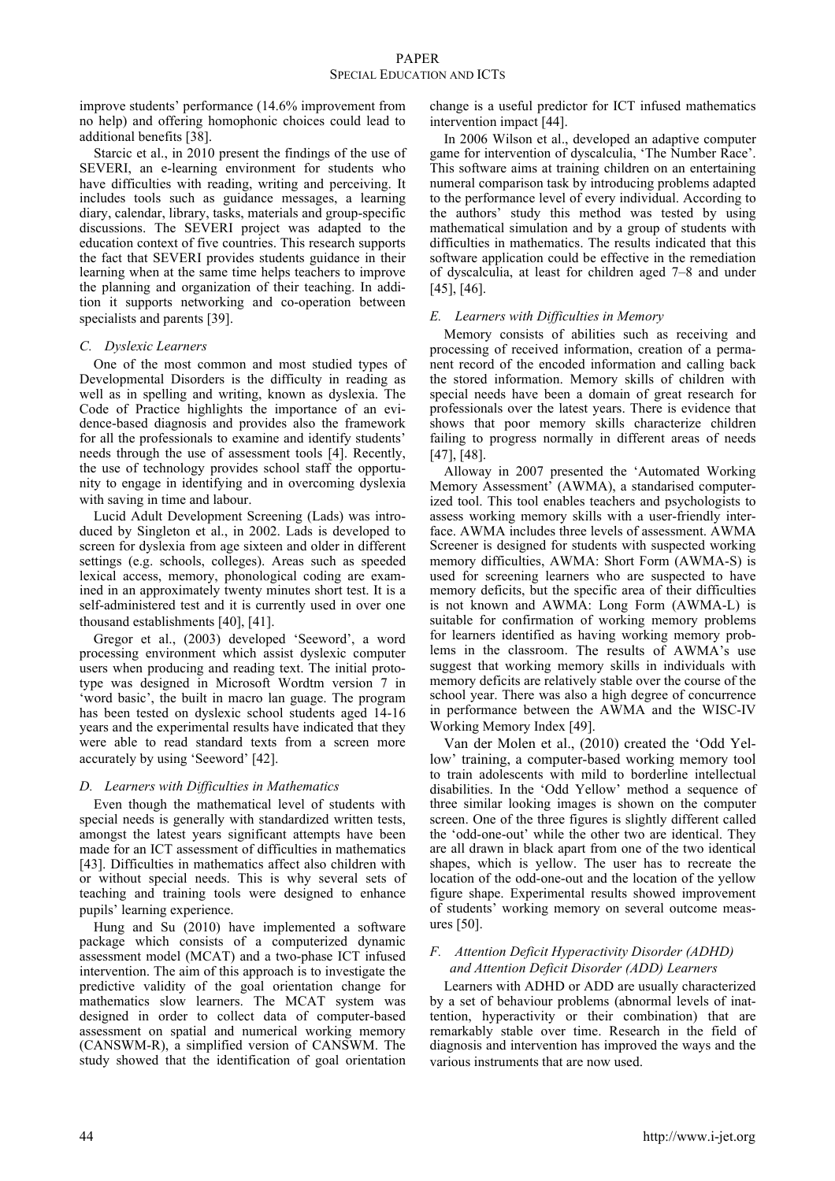improve students' performance (14.6% improvement from no help) and offering homophonic choices could lead to additional benefits [38].

Starcic et al., in 2010 present the findings of the use of SEVERI, an e-learning environment for students who have difficulties with reading, writing and perceiving. It includes tools such as guidance messages, a learning diary, calendar, library, tasks, materials and group-specific discussions. The SEVERI project was adapted to the education context of five countries. This research supports the fact that SEVERI provides students guidance in their learning when at the same time helps teachers to improve the planning and organization of their teaching. In addition it supports networking and co-operation between specialists and parents [39].

# *C. Dyslexic Learners*

One of the most common and most studied types of Developmental Disorders is the difficulty in reading as well as in spelling and writing, known as dyslexia. The Code of Practice highlights the importance of an evidence-based diagnosis and provides also the framework for all the professionals to examine and identify students' needs through the use of assessment tools [4]. Recently, the use of technology provides school staff the opportunity to engage in identifying and in overcoming dyslexia with saving in time and labour.

Lucid Adult Development Screening (Lads) was introduced by Singleton et al., in 2002. Lads is developed to screen for dyslexia from age sixteen and older in different settings (e.g. schools, colleges). Areas such as speeded lexical access, memory, phonological coding are examined in an approximately twenty minutes short test. It is a self-administered test and it is currently used in over one thousand establishments [40], [41].

Gregor et al., (2003) developed 'Seeword', a word processing environment which assist dyslexic computer users when producing and reading text. The initial prototype was designed in Microsoft Wordtm version 7 in 'word basic', the built in macro lan guage. The program has been tested on dyslexic school students aged 14-16 years and the experimental results have indicated that they were able to read standard texts from a screen more accurately by using 'Seeword' [42].

# *D. Learners with Difficulties in Mathematics*

Even though the mathematical level of students with special needs is generally with standardized written tests, amongst the latest years significant attempts have been made for an ICT assessment of difficulties in mathematics [43]. Difficulties in mathematics affect also children with or without special needs. This is why several sets of teaching and training tools were designed to enhance pupils' learning experience.

Hung and Su (2010) have implemented a software package which consists of a computerized dynamic assessment model (MCAT) and a two-phase ICT infused intervention. The aim of this approach is to investigate the predictive validity of the goal orientation change for mathematics slow learners. The MCAT system was designed in order to collect data of computer-based assessment on spatial and numerical working memory (CANSWM-R), a simplified version of CANSWM. The study showed that the identification of goal orientation change is a useful predictor for ICT infused mathematics intervention impact [44].

In 2006 Wilson et al., developed an adaptive computer game for intervention of dyscalculia, 'The Number Race'. This software aims at training children on an entertaining numeral comparison task by introducing problems adapted to the performance level of every individual. According to the authors' study this method was tested by using mathematical simulation and by a group of students with difficulties in mathematics. The results indicated that this software application could be effective in the remediation of dyscalculia, at least for children aged 7–8 and under [45], [46].

# *E. Learners with Difficulties in Memory*

Memory consists of abilities such as receiving and processing of received information, creation of a permanent record of the encoded information and calling back the stored information. Memory skills of children with special needs have been a domain of great research for professionals over the latest years. There is evidence that shows that poor memory skills characterize children failing to progress normally in different areas of needs [47], [48].

Alloway in 2007 presented the 'Automated Working Memory Assessment' (AWMA), a standarised computerized tool. This tool enables teachers and psychologists to assess working memory skills with a user-friendly interface. AWMA includes three levels of assessment. AWMA Screener is designed for students with suspected working memory difficulties, AWMA: Short Form (AWMA-S) is used for screening learners who are suspected to have memory deficits, but the specific area of their difficulties is not known and AWMA: Long Form (AWMA-L) is suitable for confirmation of working memory problems for learners identified as having working memory problems in the classroom. The results of AWMA's use suggest that working memory skills in individuals with memory deficits are relatively stable over the course of the school year. There was also a high degree of concurrence in performance between the AWMA and the WISC-IV Working Memory Index [49].

Van der Molen et al., (2010) created the 'Odd Yellow' training, a computer-based working memory tool to train adolescents with mild to borderline intellectual disabilities. In the 'Odd Yellow' method a sequence of three similar looking images is shown on the computer screen. One of the three figures is slightly different called the 'odd-one-out' while the other two are identical. They are all drawn in black apart from one of the two identical shapes, which is yellow. The user has to recreate the location of the odd-one-out and the location of the yellow figure shape. Experimental results showed improvement of students' working memory on several outcome measures [50].

# *F. Attention Deficit Hyperactivity Disorder (ADHD) and Attention Deficit Disorder (ADD) Learners*

Learners with ADHD or ADD are usually characterized by a set of behaviour problems (abnormal levels of inattention, hyperactivity or their combination) that are remarkably stable over time. Research in the field of diagnosis and intervention has improved the ways and the various instruments that are now used.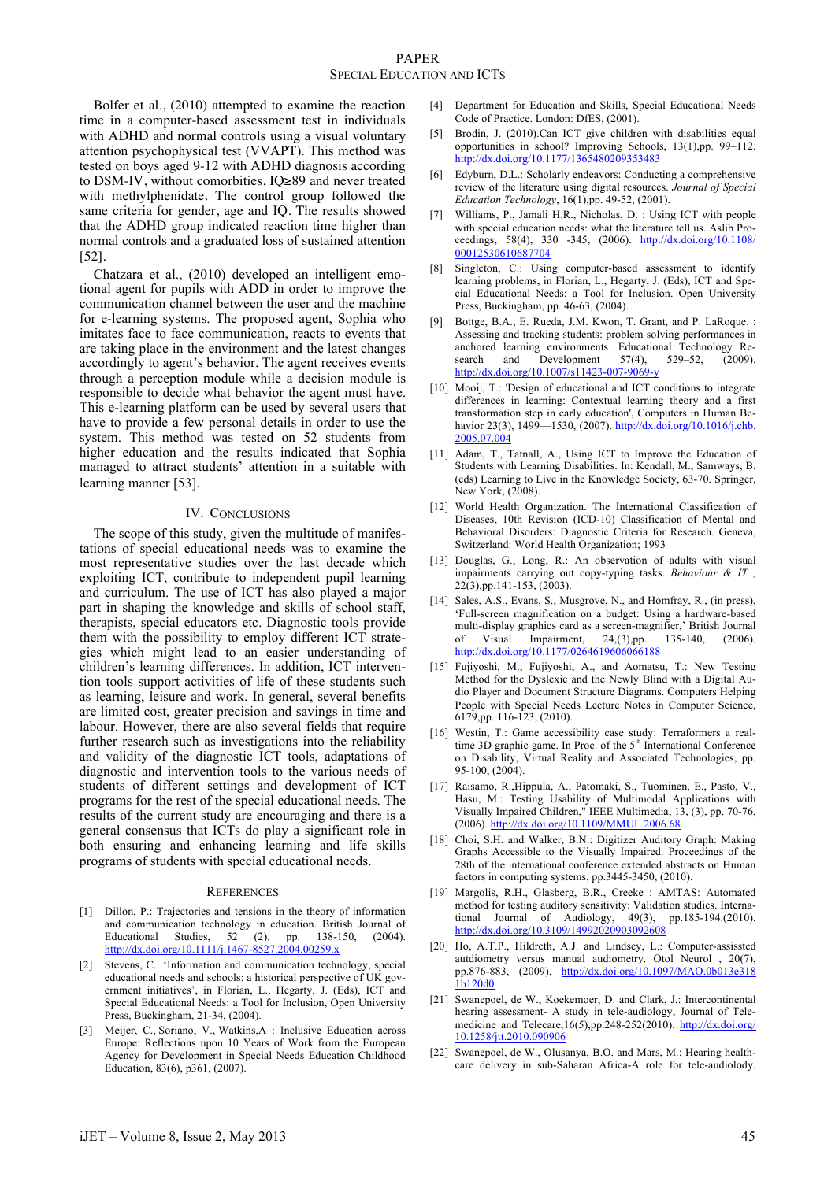# PAPER SPECIAL EDUCATION AND ICTS

Bolfer et al., (2010) attempted to examine the reaction time in a computer-based assessment test in individuals with ADHD and normal controls using a visual voluntary attention psychophysical test (VVAPT). This method was tested on boys aged 9-12 with ADHD diagnosis according to DSM-IV, without comorbities, IQ≥89 and never treated with methylphenidate. The control group followed the same criteria for gender, age and IQ. The results showed that the ADHD group indicated reaction time higher than normal controls and a graduated loss of sustained attention [52].

Chatzara et al., (2010) developed an intelligent emotional agent for pupils with ADD in order to improve the communication channel between the user and the machine for e-learning systems. The proposed agent, Sophia who imitates face to face communication, reacts to events that are taking place in the environment and the latest changes accordingly to agent's behavior. The agent receives events through a perception module while a decision module is responsible to decide what behavior the agent must have. This e-learning platform can be used by several users that have to provide a few personal details in order to use the system. This method was tested on 52 students from higher education and the results indicated that Sophia managed to attract students' attention in a suitable with learning manner [53].

#### IV. CONCLUSIONS

The scope of this study, given the multitude of manifestations of special educational needs was to examine the most representative studies over the last decade which exploiting ICT, contribute to independent pupil learning and curriculum. The use of ICT has also played a major part in shaping the knowledge and skills of school staff, therapists, special educators etc. Diagnostic tools provide them with the possibility to employ different ICT strategies which might lead to an easier understanding of children's learning differences. In addition, ICT intervention tools support activities of life of these students such as learning, leisure and work. In general, several benefits are limited cost, greater precision and savings in time and labour. However, there are also several fields that require further research such as investigations into the reliability and validity of the diagnostic ICT tools, adaptations of diagnostic and intervention tools to the various needs of students of different settings and development of ICT programs for the rest of the special educational needs. The results of the current study are encouraging and there is a general consensus that ICTs do play a significant role in both ensuring and enhancing learning and life skills programs of students with special educational needs.

#### **REFERENCES**

- [1] Dillon, P.: Trajectories and tensions in the theory of information and communication technology in education. British Journal of Educational Studies, 52 (2), pp. 138-150, (2004). http://dx.doi.org/10.1111/j.1467-8527.2004.00259.x
- [2] Stevens, C.: 'Information and communication technology, special educational needs and schools: a historical perspective of UK government initiatives', in Florian, L., Hegarty, J. (Eds), ICT and Special Educational Needs: a Tool for Inclusion, Open University Press, Buckingham, 21-34, (2004).
- [3] Meijer, C., Soriano, V., Watkins,A : Inclusive Education across Europe: Reflections upon 10 Years of Work from the European Agency for Development in Special Needs Education Childhood Education, 83(6), p361, (2007).
- Department for Education and Skills, Special Educational Needs Code of Practice. London: DfES, (2001).
- [5] Brodin, J. (2010).Can ICT give children with disabilities equal opportunities in school? Improving Schools, 13(1),pp. 99–112. http://dx.doi.org/10.1177/1365480209353483
- [6] Edyburn, D.L.: Scholarly endeavors: Conducting a comprehensive review of the literature using digital resources. *Journal of Special Education Technology*, 16(1),pp. 49-52, (2001).
- [7] Williams, P., Jamali H.R., Nicholas, D. : Using ICT with people with special education needs: what the literature tell us. Aslib Proceedings, 58(4), 330 -345, (2006). http://dx.doi.org/10.1108/ 00012530610687704
- [8] Singleton, C.: Using computer-based assessment to identify learning problems, in Florian, L., Hegarty, J. (Eds), ICT and Special Educational Needs: a Tool for Inclusion. Open University Press, Buckingham, pp. 46-63, (2004).
- [9] Bottge, B.A., E. Rueda, J.M. Kwon, T. Grant, and P. LaRoque. : Assessing and tracking students: problem solving performances in anchored learning environments. Educational Technology Research and Development 57(4), 529–52, (2009). http://dx.doi.org/10.1007/s11423-007-9069-y
- [10] Mooij, T.: 'Design of educational and ICT conditions to integrate differences in learning: Contextual learning theory and a first transformation step in early education', Computers in Human Behavior 23(3), 1499—1530, (2007). http://dx.doi.org/10.1016/j.chb. 2005.07.004
- [11] Adam, T., Tatnall, A., Using ICT to Improve the Education of Students with Learning Disabilities. In: Kendall, M., Samways, B. (eds) Learning to Live in the Knowledge Society, 63-70. Springer, New York, (2008).
- [12] World Health Organization. The International Classification of Diseases, 10th Revision (ICD-10) Classification of Mental and Behavioral Disorders: Diagnostic Criteria for Research. Geneva, Switzerland: World Health Organization; 1993
- [13] Douglas, G., Long, R.: An observation of adults with visual impairments carrying out copy-typing tasks. *Behaviour & IT ,*  22(3),pp.141-153, (2003).
- [14] Sales, A.S., Evans, S., Musgrove, N., and Homfray, R., (in press), 'Full-screen magnification on a budget: Using a hardware-based multi-display graphics card as a screen-magnifier,' British Journal of Visual Impairment, 24,(3),pp. 135-140, (2006). http://dx.doi.org/10.1177/0264619606066188
- [15] Fujiyoshi, M., Fujiyoshi, A., and Aomatsu, T.: New Testing Method for the Dyslexic and the Newly Blind with a Digital Audio Player and Document Structure Diagrams. Computers Helping People with Special Needs Lecture Notes in Computer Science, 6179,pp. 116-123, (2010).
- [16] Westin, T.: Game accessibility case study: Terraformers a realtime 3D graphic game. In Proc. of the 5<sup>th</sup> International Conference on Disability, Virtual Reality and Associated Technologies, pp. 95-100, (2004).
- [17] Raisamo, R.,Hippula, A., Patomaki, S., Tuominen, E., Pasto, V., Hasu, M.: Testing Usability of Multimodal Applications with Visually Impaired Children," IEEE Multimedia, 13, (3), pp. 70-76, (2006). http://dx.doi.org/10.1109/MMUL.2006.68
- [18] Choi, S.H. and Walker, B.N.: Digitizer Auditory Graph: Making Graphs Accessible to the Visually Impaired. Proceedings of the 28th of the international conference extended abstracts on Human factors in computing systems, pp.3445-3450, (2010).
- [19] Margolis, R.H., Glasberg, B.R., Creeke : AMTAS: Automated method for testing auditory sensitivity: Validation studies. International Journal of Audiology, 49(3), pp.185-194.(2010). http://dx.doi.org/10.3109/14992020903092608
- [20] Ho, A.T.P., Hildreth, A.J. and Lindsey, L.: Computer-assissted autdiometry versus manual audiometry. Otol Neurol , 20(7), pp.876-883, (2009). http://dx.doi.org/10.1097/MAO.0b013e318 1b120d0
- [21] Swanepoel, de W., Koekemoer, D. and Clark, J.: Intercontinental hearing assessment- A study in tele-audiology, Journal of Telemedicine and Telecare,16(5),pp.248-252(2010). http://dx.doi.org/ 10.1258/jtt.2010.090906
- [22] Swanepoel, de W., Olusanya, B.O. and Mars, M.: Hearing healthcare delivery in sub-Saharan Africa-A role for tele-audiolody.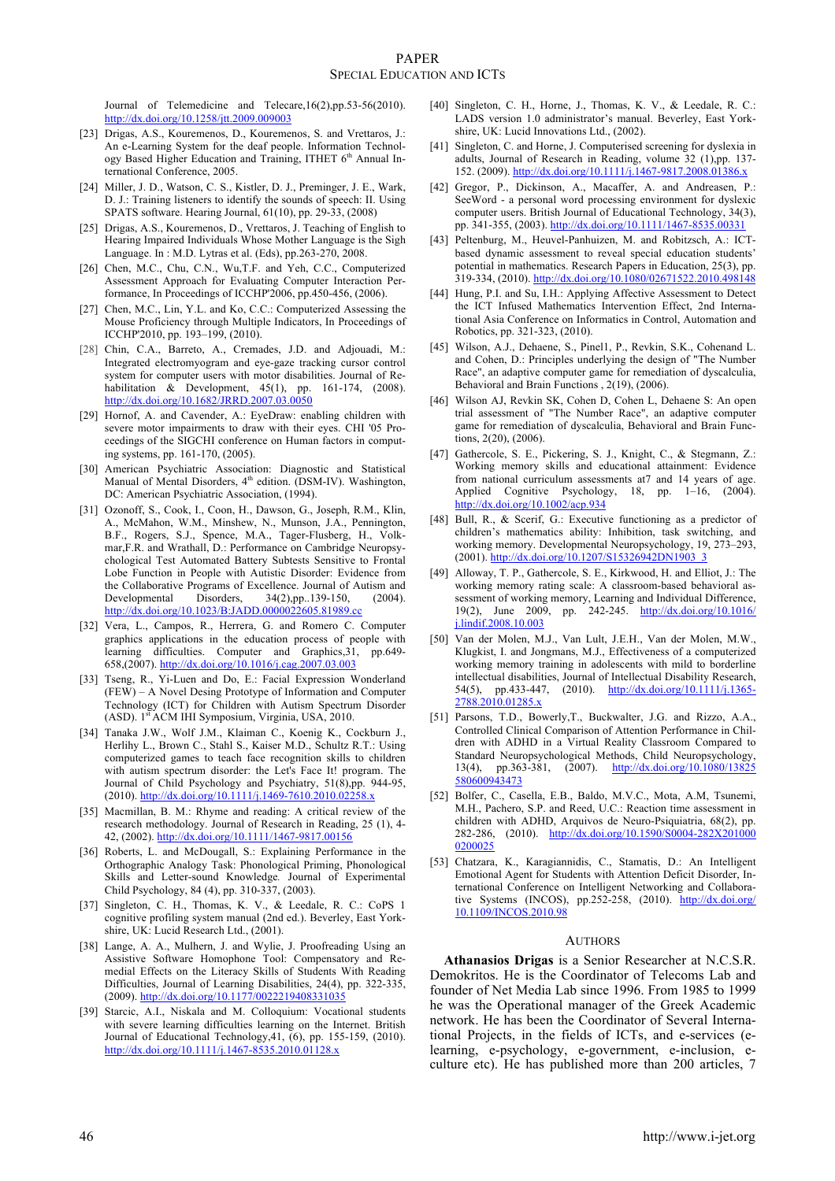Journal of Telemedicine and Telecare,16(2),pp.53-56(2010). http://dx.doi.org/10.1258/jtt.2009.009003

- [23] Drigas, A.S., Kouremenos, D., Kouremenos, S. and Vrettaros, J.: An e-Learning System for the deaf people. Information Technology Based Higher Education and Training, ITHET 6<sup>th</sup> Annual International Conference, 2005.
- [24] Miller, J. D., Watson, C. S., Kistler, D. J., Preminger, J. E., Wark, D. J.: Training listeners to identify the sounds of speech: II. Using SPATS software. Hearing Journal, 61(10), pp. 29-33, (2008)
- [25] Drigas, A.S., Kouremenos, D., Vrettaros, J. Teaching of English to Hearing Impaired Individuals Whose Mother Language is the Sigh Language. In : M.D. Lytras et al. (Eds), pp.263-270, 2008.
- [26] Chen, M.C., Chu, C.N., Wu, T.F. and Yeh, C.C., Computerized Assessment Approach for Evaluating Computer Interaction Performance, In Proceedings of ICCHP'2006, pp.450-456, (2006).
- [27] Chen, M.C., Lin, Y.L. and Ko, C.C.: Computerized Assessing the Mouse Proficiency through Multiple Indicators, In Proceedings of ICCHP'2010, pp. 193–199, (2010).
- [28] Chin, C.A., Barreto, A., Cremades, J.D. and Adjouadi, M.: Integrated electromyogram and eye-gaze tracking cursor control system for computer users with motor disabilities. Journal of Rehabilitation & Development, 45(1), pp. 161-174, (2008). http://dx.doi.org/10.1682/JRRD.2007.03.0050
- [29] Hornof, A. and Cavender, A.: EyeDraw: enabling children with severe motor impairments to draw with their eyes. CHI '05 Proceedings of the SIGCHI conference on Human factors in computing systems, pp. 161-170, (2005).
- [30] American Psychiatric Association: Diagnostic and Statistical Manual of Mental Disorders, 4<sup>th</sup> edition. (DSM-IV). Washington, DC: American Psychiatric Association, (1994).
- [31] Ozonoff, S., Cook, I., Coon, H., Dawson, G., Joseph, R.M., Klin, A., McMahon, W.M., Minshew, N., Munson, J.A., Pennington, B.F., Rogers, S.J., Spence, M.A., Tager-Flusberg, H., Volkmar,F.R. and Wrathall, D.: Performance on Cambridge Neuropsychological Test Automated Battery Subtests Sensitive to Frontal Lobe Function in People with Autistic Disorder: Evidence from the Collaborative Programs of Excellence. Journal of Autism and Developmental Disorders, 34(2),pp..139-150, (2004). http://dx.doi.org/10.1023/B:JADD.0000022605.81989.cc
- [32] Vera, L., Campos, R., Herrera, G. and Romero C. Computer graphics applications in the education process of people with learning difficulties. Computer and Graphics,31, pp.649- 658,(2007). http://dx.doi.org/10.1016/j.cag.2007.03.003
- [33] Tseng, R., Yi-Luen and Do, E.: Facial Expression Wonderland (FEW) – A Novel Desing Prototype of Information and Computer Technology (ICT) for Children with Autism Spectrum Disorder (ASD). 1st ACM IHI Symposium, Virginia, USA, 2010.
- [34] Tanaka J.W., Wolf J.M., Klaiman C., Koenig K., Cockburn J., Herlihy L., Brown C., Stahl S., Kaiser M.D., Schultz R.T.: Using computerized games to teach face recognition skills to children with autism spectrum disorder: the Let's Face It! program. The Journal of Child Psychology and Psychiatry, 51(8),pp. 944-95, (2010). http://dx.doi.org/10.1111/j.1469-7610.2010.022
- [35] Macmillan, B. M.: Rhyme and reading: A critical review of the research methodology. Journal of Research in Reading, 25 (1), 4- 42, (2002). http://dx.doi.org/10.1111/1467-9817.00156
- [36] Roberts, L. and McDougall, S.: Explaining Performance in the Orthographic Analogy Task: Phonological Priming, Phonological Skills and Letter-sound Knowledge*.* Journal of Experimental Child Psychology, 84 (4), pp. 310-337, (2003).
- [37] Singleton, C. H., Thomas, K. V., & Leedale, R. C.: CoPS 1 cognitive profiling system manual (2nd ed.). Beverley, East Yorkshire, UK: Lucid Research Ltd., (2001).
- [38] Lange, A. A., Mulhern, J. and Wylie, J. Proofreading Using an Assistive Software Homophone Tool: Compensatory and Remedial Effects on the Literacy Skills of Students With Reading Difficulties, Journal of Learning Disabilities, 24(4), pp. 322-335, (2009). http://dx.doi.org/10.1177/0022219408331035
- [39] Starcic, A.I., Niskala and M. Colloquium: Vocational students with severe learning difficulties learning on the Internet. British Journal of Educational Technology,41, (6), pp. 155-159, (2010). http://dx.doi.org/10.1111/j.1467-8535.2010.01128.x
- [40] Singleton, C. H., Horne, J., Thomas, K. V., & Leedale, R. C.: LADS version 1.0 administrator's manual. Beverley, East Yorkshire, UK: Lucid Innovations Ltd., (2002).
- [41] Singleton, C. and Horne, J. Computerised screening for dyslexia in adults, Journal of Research in Reading, volume 32 (1),pp. 137- 152. (2009). http://dx.doi.org/10.1111/j.1467-9817.2008.01386.x
- [42] Gregor, P., Dickinson, A., Macaffer, A. and Andreasen, P.: SeeWord - a personal word processing environment for dyslexic computer users. British Journal of Educational Technology, 34(3), pp. 341-355, (2003). http://dx.doi.org/10.1111/1467-8535.00331
- [43] Peltenburg, M., Heuvel-Panhuizen, M. and Robitzsch, A.: ICTbased dynamic assessment to reveal special education students' potential in mathematics. Research Papers in Education, 25(3), pp. 319-334, (2010). http://dx.doi.org/10.1080/02671522.2010.498148
- [44] Hung, P.I. and Su, I.H.: Applying Affective Assessment to Detect the ICT Infused Mathematics Intervention Effect, 2nd International Asia Conference on Informatics in Control, Automation and Robotics, pp. 321-323, (2010).
- [45] Wilson, A.J., Dehaene, S., Pinel1, P., Revkin, S.K., Cohenand L. and Cohen, D.: Principles underlying the design of "The Number Race", an adaptive computer game for remediation of dyscalculia, Behavioral and Brain Functions , 2(19), (2006).
- [46] Wilson AJ, Revkin SK, Cohen D, Cohen L, Dehaene S: An open trial assessment of "The Number Race", an adaptive computer game for remediation of dyscalculia, Behavioral and Brain Functions, 2(20), (2006).
- [47] Gathercole, S. E., Pickering, S. J., Knight, C., & Stegmann, Z.: Working memory skills and educational attainment: Evidence from national curriculum assessments at7 and 14 years of age. Applied Cognitive Psychology, 18, pp. 1–16, (2004). http://dx.doi.org/10.1002/acp.934
- [48] Bull, R., & Scerif, G.: Executive functioning as a predictor of children's mathematics ability: Inhibition, task switching, and working memory. Developmental Neuropsychology, 19, 273–293, (2001). http://dx.doi.org/10.1207/S15326942DN1903\_3
- [49] Alloway, T. P., Gathercole, S. E., Kirkwood, H. and Elliot, J.: The working memory rating scale: A classroom-based behavioral assessment of working memory, Learning and Individual Difference, 19(2), June 2009, pp. 242-245. http://dx.doi.org/10.1016/ j.lindif.2008.10.003
- [50] Van der Molen, M.J., Van Lult, J.E.H., Van der Molen, M.W., Klugkist, I. and Jongmans, M.J., Effectiveness of a computerized working memory training in adolescents with mild to borderline intellectual disabilities, Journal of Intellectual Disability Research, 54(5), pp.433-447, (2010). http://dx.doi.org/10.1111/j.1365-2788.2010.01285.x
- [51] Parsons, T.D., Bowerly,T., Buckwalter, J.G. and Rizzo, A.A., Controlled Clinical Comparison of Attention Performance in Children with ADHD in a Virtual Reality Classroom Compared to Standard Neuropsychological Methods, Child Neuropsychology, 13(4), pp.363-381, (2007).  $\frac{\text{http://dx.doi.org/10.1080/1381}}{2007}$ 580600943473
- [52] Bolfer, C., Casella, E.B., Baldo, M.V.C., Mota, A.M, Tsunemi, M.H., Pachero, S.P. and Reed, U.C.: Reaction time assessment in children with ADHD, Arquivos de Neuro-Psiquiatria, 68(2), pp. 282-286, (2010). http://dx.doi.org/10.1590/S0004-282X201000 0200025
- [53] Chatzara, K., Karagiannidis, C., Stamatis, D.: An Intelligent Emotional Agent for Students with Attention Deficit Disorder, International Conference on Intelligent Networking and Collaborative Systems (INCOS), pp.252-258, (2010). http://dx.doi.org/ 10.1109/INCOS.2010.98

## **AUTHORS**

**Athanasios Drigas** is a Senior Researcher at N.C.S.R. Demokritos. He is the Coordinator of Telecoms Lab and founder of Net Media Lab since 1996. From 1985 to 1999 he was the Operational manager of the Greek Academic network. He has been the Coordinator of Several International Projects, in the fields of ICTs, and e-services (elearning, e-psychology, e-government, e-inclusion, eculture etc). He has published more than 200 articles, 7